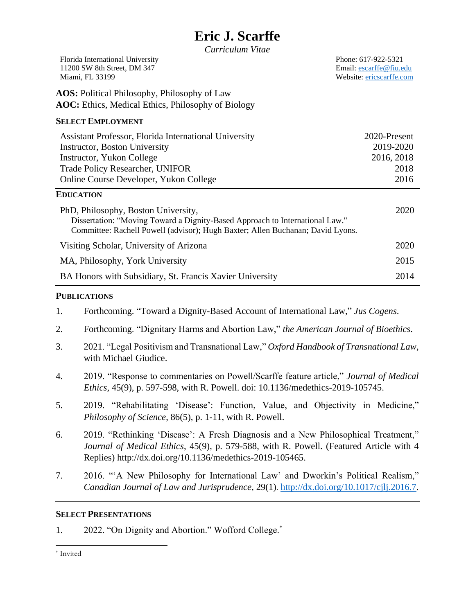|  | <b>Eric J. Scarffe</b> |
|--|------------------------|
|--|------------------------|

*Curriculum Vitae*

| Florida International University |
|----------------------------------|
| 11200 SW 8th Street, DM 347      |
| Miami, FL 33199                  |

Phone: 617-922-5321 Email: [escarffe@fiu.edu](mailto:escarffe@fiu.edu) Website: [ericscarffe.com](http://www.ericscarffe.com/)

**AOS:** Political Philosophy, Philosophy of Law **AOC:** Ethics, Medical Ethics, Philosophy of Biology

## **SELECT EMPLOYMENT**

| Assistant Professor, Florida International University | 2020-Present |
|-------------------------------------------------------|--------------|
| Instructor, Boston University                         | 2019-2020    |
| Instructor, Yukon College                             | 2016, 2018   |
| <b>Trade Policy Researcher, UNIFOR</b>                | 2018         |
| Online Course Developer, Yukon College                | 2016         |

## **EDUCATION**

| PhD, Philosophy, Boston University,<br>Dissertation: "Moving Toward a Dignity-Based Approach to International Law."<br>Committee: Rachell Powell (advisor); Hugh Baxter; Allen Buchanan; David Lyons. | 2020 |
|-------------------------------------------------------------------------------------------------------------------------------------------------------------------------------------------------------|------|
| Visiting Scholar, University of Arizona                                                                                                                                                               | 2020 |
| MA, Philosophy, York University                                                                                                                                                                       | 2015 |
| BA Honors with Subsidiary, St. Francis Xavier University                                                                                                                                              | 2014 |

## **PUBLICATIONS**

- 1. Forthcoming. "Toward a Dignity-Based Account of International Law," *Jus Cogens*.
- 2. Forthcoming. "Dignitary Harms and Abortion Law," *the American Journal of Bioethics*.
- 3. 2021. "Legal Positivism and Transnational Law," *Oxford Handbook of Transnational Law*, with Michael Giudice.
- 4. 2019. "Response to commentaries on Powell/Scarffe feature article," *Journal of Medical Ethics*, 45(9), p. 597-598, with R. Powell. doi: 10.1136/medethics-2019-105745.
- 5. 2019. "Rehabilitating 'Disease': Function, Value, and Objectivity in Medicine," *Philosophy of Science*, 86(5), p. 1-11, with R. Powell.
- 6. 2019. "Rethinking 'Disease': A Fresh Diagnosis and a New Philosophical Treatment," *Journal of Medical Ethics*, 45(9), p. 579-588, with R. Powell. (Featured Article with 4 Replies) http://dx.doi.org/10.1136/medethics-2019-105465.
- 7. 2016. "'A New Philosophy for International Law' and Dworkin's Political Realism," *Canadian Journal of Law and Jurisprudence*, 29(1). [http://dx.doi.org/10.1017/cjlj.2016.7.](http://dx.doi.org/10.1017/cjlj.2016.7)

# **SELECT PRESENTATIONS**

1. 2022. "On Dignity and Abortion." Wofford College.\*

\* Invited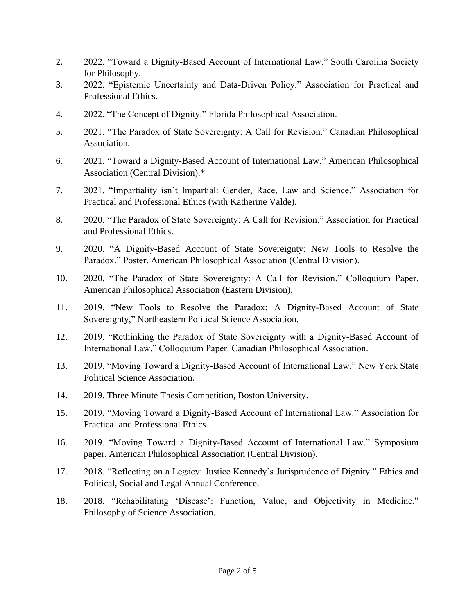- 2. 2022. "Toward a Dignity-Based Account of International Law." South Carolina Society for Philosophy.
- 3. 2022. "Epistemic Uncertainty and Data-Driven Policy." Association for Practical and Professional Ethics.
- 4. 2022. "The Concept of Dignity." Florida Philosophical Association.
- 5. 2021. "The Paradox of State Sovereignty: A Call for Revision." Canadian Philosophical Association.
- 6. 2021. "Toward a Dignity-Based Account of International Law." American Philosophical Association (Central Division).\*
- 7. 2021. "Impartiality isn't Impartial: Gender, Race, Law and Science." Association for Practical and Professional Ethics (with Katherine Valde).
- 8. 2020. "The Paradox of State Sovereignty: A Call for Revision." Association for Practical and Professional Ethics.
- 9. 2020. "A Dignity-Based Account of State Sovereignty: New Tools to Resolve the Paradox." Poster. American Philosophical Association (Central Division).
- 10. 2020. "The Paradox of State Sovereignty: A Call for Revision." Colloquium Paper. American Philosophical Association (Eastern Division).
- 11. 2019. "New Tools to Resolve the Paradox: A Dignity-Based Account of State Sovereignty," Northeastern Political Science Association.
- 12. 2019. "Rethinking the Paradox of State Sovereignty with a Dignity-Based Account of International Law." Colloquium Paper. Canadian Philosophical Association.
- 13. 2019. "Moving Toward a Dignity-Based Account of International Law." New York State Political Science Association.
- 14. 2019. Three Minute Thesis Competition, Boston University.
- 15. 2019. "Moving Toward a Dignity-Based Account of International Law." Association for Practical and Professional Ethics.
- 16. 2019. "Moving Toward a Dignity-Based Account of International Law." Symposium paper. American Philosophical Association (Central Division).
- 17. 2018. "Reflecting on a Legacy: Justice Kennedy's Jurisprudence of Dignity." Ethics and Political, Social and Legal Annual Conference.
- 18. 2018. "Rehabilitating 'Disease': Function, Value, and Objectivity in Medicine." Philosophy of Science Association.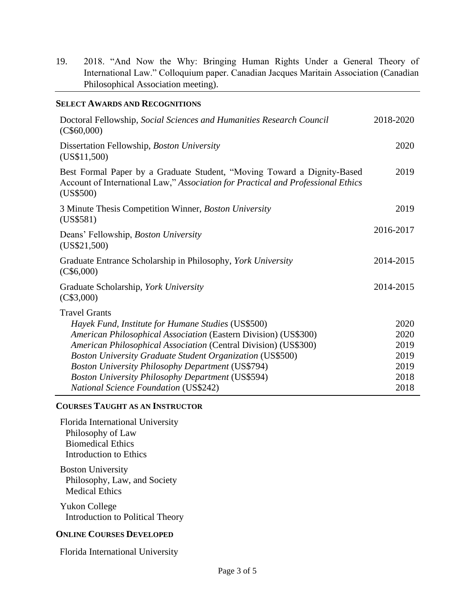19. 2018. "And Now the Why: Bringing Human Rights Under a General Theory of International Law." Colloquium paper. Canadian Jacques Maritain Association (Canadian Philosophical Association meeting).

### **SELECT AWARDS AND RECOGNITIONS**

| Doctoral Fellowship, Social Sciences and Humanities Research Council<br>(C\$60,000)                                                                                      | 2018-2020    |
|--------------------------------------------------------------------------------------------------------------------------------------------------------------------------|--------------|
| Dissertation Fellowship, Boston University<br>(US\$11,500)                                                                                                               | 2020         |
| Best Formal Paper by a Graduate Student, "Moving Toward a Dignity-Based<br>Account of International Law," Association for Practical and Professional Ethics<br>(US\$500) | 2019         |
| 3 Minute Thesis Competition Winner, Boston University<br>(US\$581)                                                                                                       | 2019         |
| Deans' Fellowship, Boston University<br>(US\$21,500)                                                                                                                     | 2016-2017    |
| Graduate Entrance Scholarship in Philosophy, York University<br>(C\$6,000)                                                                                               | 2014-2015    |
| Graduate Scholarship, York University<br>(C\$3,000)                                                                                                                      | 2014-2015    |
| <b>Travel Grants</b>                                                                                                                                                     |              |
| Hayek Fund, Institute for Humane Studies (US\$500)                                                                                                                       | 2020<br>2020 |
| American Philosophical Association (Eastern Division) (US\$300)<br>American Philosophical Association (Central Division) (US\$300)                                       | 2019         |
| <b>Boston University Graduate Student Organization (US\$500)</b>                                                                                                         | 2019         |
| <b>Boston University Philosophy Department (US\$794)</b>                                                                                                                 | 2019         |
| <b>Boston University Philosophy Department (US\$594)</b>                                                                                                                 | 2018         |
| <b>National Science Foundation (US\$242)</b>                                                                                                                             | 2018         |

### **COURSES TAUGHT AS AN INSTRUCTOR**

Florida International University Philosophy of Law Biomedical Ethics Introduction to Ethics

Boston University Philosophy, Law, and Society Medical Ethics

Yukon College Introduction to Political Theory

#### **ONLINE COURSES DEVELOPED**

Florida International University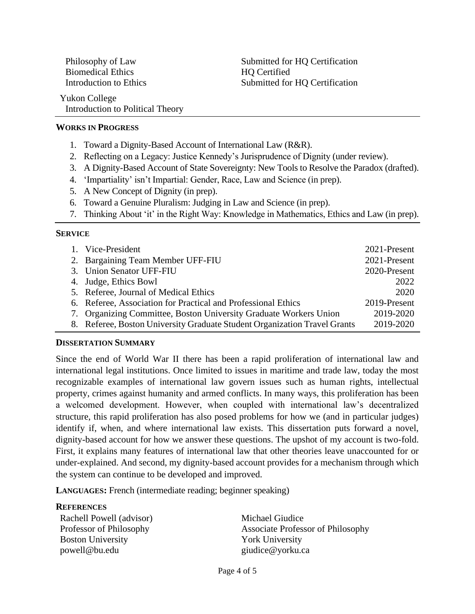Biomedical Ethics HQ Certified

Introduction to Political Theory

Philosophy of Law Submitted for HQ Certification Introduction to Ethics Submitted for HQ Certification

## **WORKS IN PROGRESS**

Yukon College

- 1. Toward a Dignity-Based Account of International Law (R&R).
- 2. Reflecting on a Legacy: Justice Kennedy's Jurisprudence of Dignity (under review).
- 3. A Dignity-Based Account of State Sovereignty: New Tools to Resolve the Paradox (drafted).
- 4. 'Impartiality' isn't Impartial: Gender, Race, Law and Science (in prep).
- 5. A New Concept of Dignity (in prep).
- 6. Toward a Genuine Pluralism: Judging in Law and Science (in prep).
- 7. Thinking About 'it' in the Right Way: Knowledge in Mathematics, Ethics and Law (in prep).

#### **SERVICE**

| 1. Vice-President                                                         | 2021-Present |
|---------------------------------------------------------------------------|--------------|
| 2. Bargaining Team Member UFF-FIU                                         | 2021-Present |
| 3. Union Senator UFF-FIU                                                  | 2020-Present |
| 4. Judge, Ethics Bowl                                                     | 2022         |
| 5. Referee, Journal of Medical Ethics                                     | 2020         |
| 6. Referee, Association for Practical and Professional Ethics             | 2019-Present |
| 7. Organizing Committee, Boston University Graduate Workers Union         | 2019-2020    |
| 8. Referee, Boston University Graduate Student Organization Travel Grants | 2019-2020    |

#### **DISSERTATION SUMMARY**

Since the end of World War II there has been a rapid proliferation of international law and international legal institutions. Once limited to issues in maritime and trade law, today the most recognizable examples of international law govern issues such as human rights, intellectual property, crimes against humanity and armed conflicts. In many ways, this proliferation has been a welcomed development. However, when coupled with international law's decentralized structure, this rapid proliferation has also posed problems for how we (and in particular judges) identify if, when, and where international law exists. This dissertation puts forward a novel, dignity-based account for how we answer these questions. The upshot of my account is two-fold. First, it explains many features of international law that other theories leave unaccounted for or under-explained. And second, my dignity-based account provides for a mechanism through which the system can continue to be developed and improved.

**LANGUAGES:** French (intermediate reading; beginner speaking)

#### **REFERENCES**

Rachell Powell (advisor) Professor of Philosophy Boston University powell@bu.edu

Michael Giudice Associate Professor of Philosophy York University giudice@yorku.ca